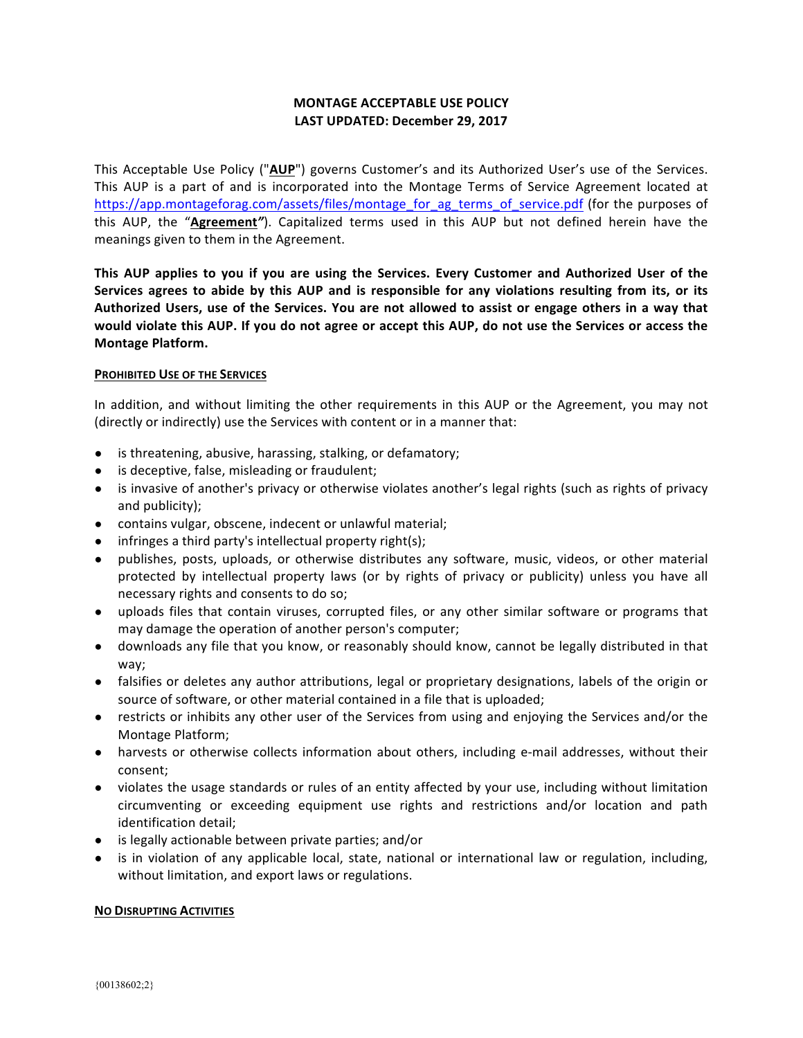# **MONTAGE ACCEPTABLE USE POLICY** LAST UPDATED: December 29, 2017

This Acceptable Use Policy ("AUP") governs Customer's and its Authorized User's use of the Services. This AUP is a part of and is incorporated into the Montage Terms of Service Agreement located at https://app.montageforag.com/assets/files/montage\_for\_ag\_terms\_of\_service.pdf (for the purposes of this AUP, the "Agreement"). Capitalized terms used in this AUP but not defined herein have the meanings given to them in the Agreement.

This AUP applies to you if you are using the Services. Every Customer and Authorized User of the Services agrees to abide by this AUP and is responsible for any violations resulting from its, or its Authorized Users, use of the Services. You are not allowed to assist or engage others in a way that would violate this AUP. If you do not agree or accept this AUP, do not use the Services or access the **Montage Platform.**

# **PROHIBITED USE OF THE SERVICES**

In addition, and without limiting the other requirements in this AUP or the Agreement, you may not (directly or indirectly) use the Services with content or in a manner that:

- is threatening, abusive, harassing, stalking, or defamatory;
- is deceptive, false, misleading or fraudulent;
- is invasive of another's privacy or otherwise violates another's legal rights (such as rights of privacy and publicity);
- contains vulgar, obscene, indecent or unlawful material;
- infringes a third party's intellectual property right(s);
- publishes, posts, uploads, or otherwise distributes any software, music, videos, or other material protected by intellectual property laws (or by rights of privacy or publicity) unless you have all necessary rights and consents to do so;
- uploads files that contain viruses, corrupted files, or any other similar software or programs that may damage the operation of another person's computer;
- downloads any file that you know, or reasonably should know, cannot be legally distributed in that way;
- falsifies or deletes any author attributions, legal or proprietary designations, labels of the origin or source of software, or other material contained in a file that is uploaded;
- restricts or inhibits any other user of the Services from using and enjoying the Services and/or the Montage Platform;
- harvests or otherwise collects information about others, including e-mail addresses, without their consent;
- violates the usage standards or rules of an entity affected by your use, including without limitation circumventing or exceeding equipment use rights and restrictions and/or location and path identification detail;
- is legally actionable between private parties; and/or
- is in violation of any applicable local, state, national or international law or regulation, including, without limitation, and export laws or regulations.

# **NO DISRUPTING ACTIVITIES**